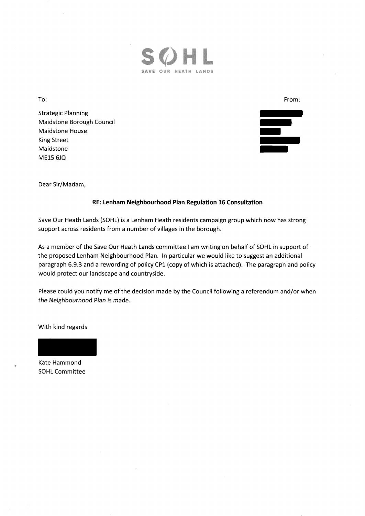

To;

Strategic Planning Maidstone Borough Council Maidstone House King Street Maidstone ME15 6JQ

From:

Dear Sir/Madam,

## RE: Lenham Neighbourhood Plan Regulation 16 Consultation

Save Our Heath Lands (SOHL) is a Lenham Heath residents campaign group which now has strong support across residents from a number of villages in the borough.

As a member of the Save Our Heath Lands committee I am writing on behalf of SOHL in support of the proposed Lenham Neighbourhood Plan. ln particular we would like to suggest an additional paragraph 6.9.3 and a rewording of policy CP1 (copy of which is attached). The paragraph and policy would protect our Iandscape and countryside.

Please could you notify me of the decision made by the Council following a referendum and/or when the Neighbourhood Plan is made.

With kind regards

Kate Hammond SOHL Committee